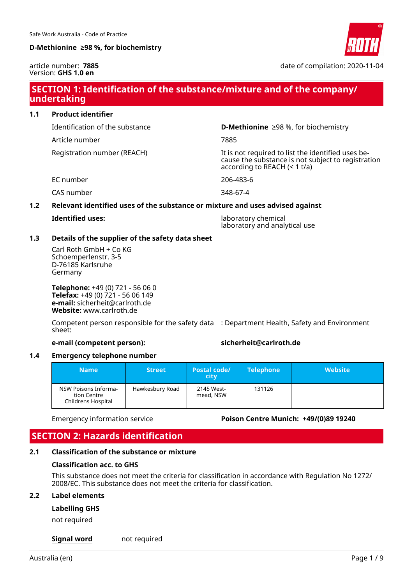

article number: **7885** Version: **GHS 1.0 en**

date of compilation: 2020-11-04

# **SECTION 1: Identification of the substance/mixture and of the company/ undertaking**

**1.1 Product identifier**

Article number 7885

Identification of the substance **D-Methionine** ≥98 %, for biochemistry

Registration number (REACH) It is not required to list the identified uses because the substance is not subject to registration according to REACH  $($  < 1 t/a)

EC number 206-483-6

CAS number 348-67-4

# **1.2 Relevant identified uses of the substance or mixture and uses advised against**

|  | <b>Identified uses:</b> |
|--|-------------------------|
|  |                         |

**Iaboratory chemical** laboratory and analytical use

### **1.3 Details of the supplier of the safety data sheet**

Carl Roth GmbH + Co KG Schoemperlenstr. 3-5 D-76185 Karlsruhe Germany

**Telephone:** +49 (0) 721 - 56 06 0 **Telefax:** +49 (0) 721 - 56 06 149 **e-mail:** sicherheit@carlroth.de **Website:** www.carlroth.de

Competent person responsible for the safety data : Department Health, Safety and Environment sheet:

#### **e-mail (competent person): sicherheit@carlroth.de**

#### **1.4 Emergency telephone number**

| <b>Name</b>                                               | <b>Street</b>   | <b>Postal code/</b><br>city | <b>Telephone</b> | <b>Website</b> |
|-----------------------------------------------------------|-----------------|-----------------------------|------------------|----------------|
| NSW Poisons Informa-<br>tion Centre<br>Childrens Hospital | Hawkesbury Road | 2145 West-<br>mead, NSW     | 131126           |                |

#### Emergency information service **Poison Centre Munich: +49/(0)89 19240**

# **SECTION 2: Hazards identification**

#### **2.1 Classification of the substance or mixture**

#### **Classification acc. to GHS**

This substance does not meet the criteria for classification in accordance with Regulation No 1272/ 2008/EC. This substance does not meet the criteria for classification.

#### **2.2 Label elements**

#### **Labelling GHS**

not required

#### **Signal word** not required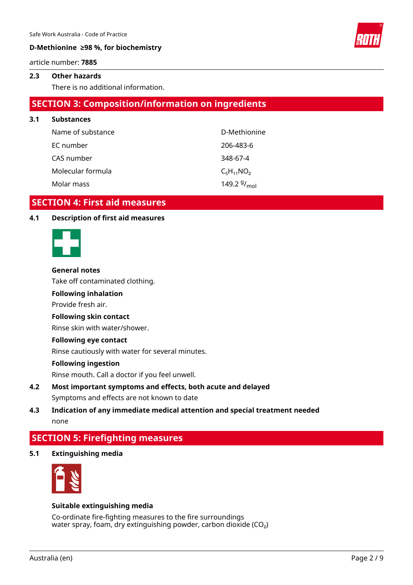article number: **7885**

#### **2.3 Other hazards**

There is no additional information.

# **SECTION 3: Composition/information on ingredients**

**3.1 Substances** Name of substance D-Methionine EC number 206-483-6 CAS number 348-67-4 Molecular formula  $C_5H_{11}NO_2$ Molar mass 149.2  $9/_{mol}$ 

# **SECTION 4: First aid measures**

### **4.1 Description of first aid measures**



### **General notes**

Take off contaminated clothing.

#### **Following inhalation**

Provide fresh air.

#### **Following skin contact**

Rinse skin with water/shower.

#### **Following eye contact**

Rinse cautiously with water for several minutes.

#### **Following ingestion**

Rinse mouth. Call a doctor if you feel unwell.

# **4.2 Most important symptoms and effects, both acute and delayed**

Symptoms and effects are not known to date

# **4.3 Indication of any immediate medical attention and special treatment needed** none

# **SECTION 5: Firefighting measures**

#### **5.1 Extinguishing media**



#### **Suitable extinguishing media**

Co-ordinate fire-fighting measures to the fire surroundings water spray, foam, dry extinguishing powder, carbon dioxide  $(CO<sub>2</sub>)$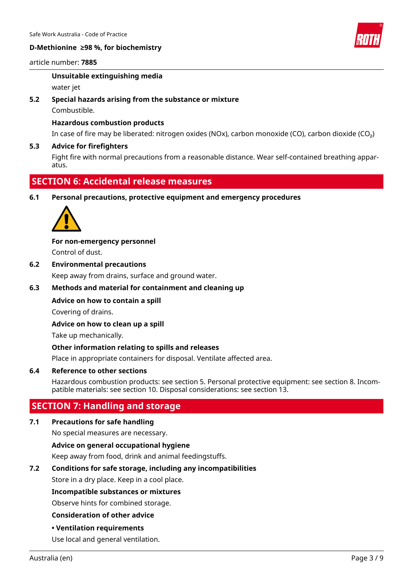

#### article number: **7885**

### **Unsuitable extinguishing media**

water jet

### **5.2 Special hazards arising from the substance or mixture**

Combustible.

#### **Hazardous combustion products**

In case of fire may be liberated: nitrogen oxides (NOx), carbon monoxide (CO), carbon dioxide (CO₂)

#### **5.3 Advice for firefighters**

Fight fire with normal precautions from a reasonable distance. Wear self-contained breathing apparatus.

# **SECTION 6: Accidental release measures**

### **6.1 Personal precautions, protective equipment and emergency procedures**



# **For non-emergency personnel**

Control of dust.

#### **6.2 Environmental precautions**

Keep away from drains, surface and ground water.

# **6.3 Methods and material for containment and cleaning up**

# **Advice on how to contain a spill**

Covering of drains.

#### **Advice on how to clean up a spill**

Take up mechanically.

#### **Other information relating to spills and releases**

Place in appropriate containers for disposal. Ventilate affected area.

#### **6.4 Reference to other sections**

Hazardous combustion products: see section 5. Personal protective equipment: see section 8. Incompatible materials: see section 10. Disposal considerations: see section 13.

# **SECTION 7: Handling and storage**

### **7.1 Precautions for safe handling**

No special measures are necessary.

#### **Advice on general occupational hygiene**

Keep away from food, drink and animal feedingstuffs.

#### **7.2 Conditions for safe storage, including any incompatibilities**

Store in a dry place. Keep in a cool place.

#### **Incompatible substances or mixtures**

Observe hints for combined storage.

### **Consideration of other advice**

**• Ventilation requirements**

Use local and general ventilation.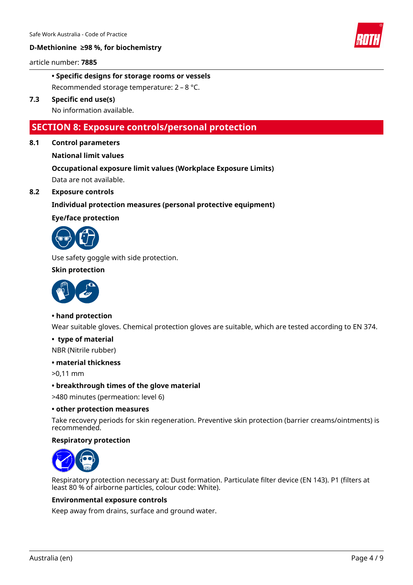

article number: **7885**

#### **• Specific designs for storage rooms or vessels**

Recommended storage temperature: 2 – 8 °C.

### **7.3 Specific end use(s)**

No information available.

# **SECTION 8: Exposure controls/personal protection**

### **8.1 Control parameters**

### **National limit values**

# **Occupational exposure limit values (Workplace Exposure Limits)**

Data are not available.

#### **8.2 Exposure controls**

### **Individual protection measures (personal protective equipment)**

### **Eye/face protection**



Use safety goggle with side protection.

# **Skin protection**



#### **• hand protection**

Wear suitable gloves. Chemical protection gloves are suitable, which are tested according to EN 374.

#### **• type of material**

NBR (Nitrile rubber)

#### **• material thickness**

>0,11 mm

#### **• breakthrough times of the glove material**

>480 minutes (permeation: level 6)

#### **• other protection measures**

Take recovery periods for skin regeneration. Preventive skin protection (barrier creams/ointments) is recommended.

#### **Respiratory protection**



Respiratory protection necessary at: Dust formation. Particulate filter device (EN 143). P1 (filters at least 80 % of airborne particles, colour code: White).

#### **Environmental exposure controls**

Keep away from drains, surface and ground water.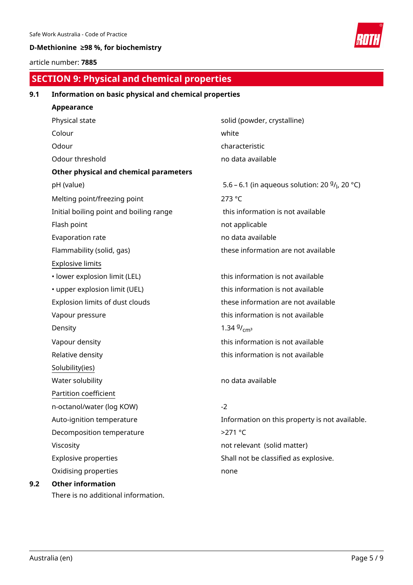

article number: **7885**

# **SECTION 9: Physical and chemical properties**

# **9.1 Information on basic physical and chemical properties**

|     | Appearance                              |                                                   |
|-----|-----------------------------------------|---------------------------------------------------|
|     | Physical state                          | solid (powder, crystalline)                       |
|     | Colour                                  | white                                             |
|     | Odour                                   | characteristic                                    |
|     | Odour threshold                         | no data available                                 |
|     | Other physical and chemical parameters  |                                                   |
|     | pH (value)                              | 5.6 – 6.1 (in aqueous solution: 20 $9/1$ , 20 °C) |
|     | Melting point/freezing point            | 273 °C                                            |
|     | Initial boiling point and boiling range | this information is not available                 |
|     | Flash point                             | not applicable                                    |
|     | Evaporation rate                        | no data available                                 |
|     | Flammability (solid, gas)               | these information are not available               |
|     | <b>Explosive limits</b>                 |                                                   |
|     | · lower explosion limit (LEL)           | this information is not available                 |
|     | • upper explosion limit (UEL)           | this information is not available                 |
|     | Explosion limits of dust clouds         | these information are not available               |
|     | Vapour pressure                         | this information is not available                 |
|     | Density                                 | 1.34 $9/_{cm^3}$                                  |
|     | Vapour density                          | this information is not available                 |
|     | Relative density                        | this information is not available                 |
|     | Solubility(ies)                         |                                                   |
|     | Water solubility                        | no data available                                 |
|     | Partition coefficient                   |                                                   |
|     | n-octanol/water (log KOW)               | $-2$                                              |
|     | Auto-ignition temperature               | Information on this property is not available.    |
|     | Decomposition temperature               | $>271$ °C                                         |
|     | Viscosity                               | not relevant (solid matter)                       |
|     | <b>Explosive properties</b>             | Shall not be classified as explosive.             |
|     | Oxidising properties                    | none                                              |
| 9.2 | <b>Other information</b>                |                                                   |
|     | There is no additional information.     |                                                   |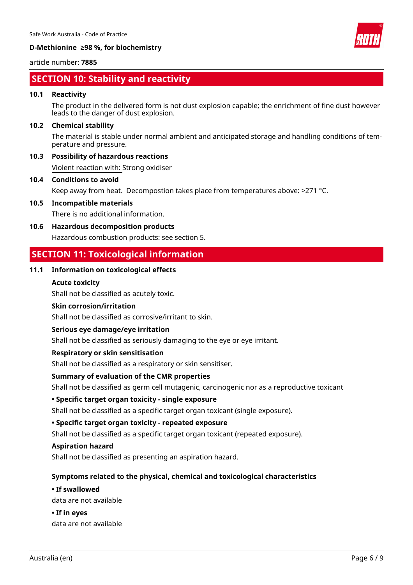

article number: **7885**

# **SECTION 10: Stability and reactivity**

### **10.1 Reactivity**

The product in the delivered form is not dust explosion capable; the enrichment of fine dust however leads to the danger of dust explosion.

#### **10.2 Chemical stability**

The material is stable under normal ambient and anticipated storage and handling conditions of temperature and pressure.

# **10.3 Possibility of hazardous reactions**

Violent reaction with: Strong oxidiser

#### **10.4 Conditions to avoid**

Keep away from heat. Decompostion takes place from temperatures above: >271 °C.

### **10.5 Incompatible materials**

There is no additional information.

**10.6 Hazardous decomposition products**

Hazardous combustion products: see section 5.

# **SECTION 11: Toxicological information**

### **11.1 Information on toxicological effects**

#### **Acute toxicity**

Shall not be classified as acutely toxic.

#### **Skin corrosion/irritation**

Shall not be classified as corrosive/irritant to skin.

#### **Serious eye damage/eye irritation**

Shall not be classified as seriously damaging to the eye or eye irritant.

#### **Respiratory or skin sensitisation**

Shall not be classified as a respiratory or skin sensitiser.

#### **Summary of evaluation of the CMR properties**

Shall not be classified as germ cell mutagenic, carcinogenic nor as a reproductive toxicant

#### **• Specific target organ toxicity - single exposure**

Shall not be classified as a specific target organ toxicant (single exposure).

#### **• Specific target organ toxicity - repeated exposure**

Shall not be classified as a specific target organ toxicant (repeated exposure).

#### **Aspiration hazard**

Shall not be classified as presenting an aspiration hazard.

#### **Symptoms related to the physical, chemical and toxicological characteristics**

#### **• If swallowed**

data are not available

#### **• If in eyes**

data are not available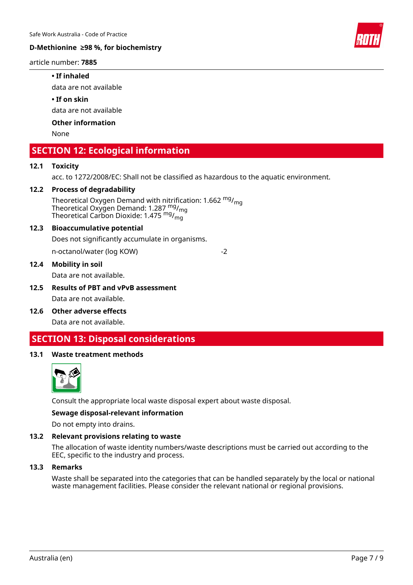

#### article number: **7885**

#### **• If inhaled**

data are not available

#### **• If on skin**

data are not available

#### **Other information**

None

# **SECTION 12: Ecological information**

#### **12.1 Toxicity**

acc. to 1272/2008/EC: Shall not be classified as hazardous to the aquatic environment.

#### **12.2 Process of degradability**

Theoretical Oxygen Demand with nitrification: 1.662 <sup>mg</sup>/<sub>mg</sub> Theoretical Oxygen Demand: 1.287 <sup>mg</sup>/<sub>mg</sub> Theoretical Carbon Dioxide: 1.475 <sup>mg</sup>/<sub>mg</sub>

#### **12.3 Bioaccumulative potential**

Does not significantly accumulate in organisms.

n-octanol/water (log KOW) -2

#### **12.4 Mobility in soil**

Data are not available.

### **12.5 Results of PBT and vPvB assessment** Data are not available.

# **12.6 Other adverse effects**

Data are not available.

# **SECTION 13: Disposal considerations**

### **13.1 Waste treatment methods**



Consult the appropriate local waste disposal expert about waste disposal.

#### **Sewage disposal-relevant information**

Do not empty into drains.

#### **13.2 Relevant provisions relating to waste**

The allocation of waste identity numbers/waste descriptions must be carried out according to the EEC, specific to the industry and process.

#### **13.3 Remarks**

Waste shall be separated into the categories that can be handled separately by the local or national waste management facilities. Please consider the relevant national or regional provisions.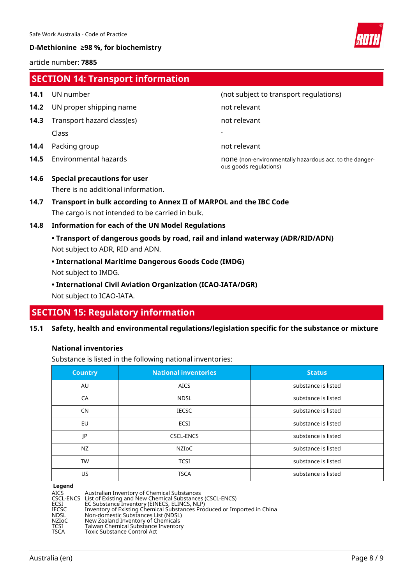

article number: **7885**

# **SECTION 14: Transport information**

| 14.1 | UN number                           | (not subject to transport regulations)                                            |
|------|-------------------------------------|-----------------------------------------------------------------------------------|
| 14.2 | UN proper shipping name             | not relevant                                                                      |
| 14.3 | Transport hazard class(es)          | not relevant                                                                      |
|      | Class                               |                                                                                   |
| 14.4 | Packing group                       | not relevant                                                                      |
|      | <b>14.5</b> Environmental hazards   | none (non-environmentally hazardous acc. to the danger-<br>ous goods regulations) |
| 14.6 | <b>Special precautions for user</b> |                                                                                   |
|      | There is no additional information. |                                                                                   |

- **14.7 Transport in bulk according to Annex II of MARPOL and the IBC Code** The cargo is not intended to be carried in bulk.
- **14.8 Information for each of the UN Model Regulations**

**• Transport of dangerous goods by road, rail and inland waterway (ADR/RID/ADN)** Not subject to ADR, RID and ADN.

### **• International Maritime Dangerous Goods Code (IMDG)**

Not subject to IMDG.

**• International Civil Aviation Organization (ICAO-IATA/DGR)**

Not subject to ICAO-IATA.

# **SECTION 15: Regulatory information**

**15.1 Safety, health and environmental regulations/legislation specific for the substance or mixture**

# **National inventories**

Substance is listed in the following national inventories:

| <b>Country</b> | <b>National inventories</b> | <b>Status</b>       |
|----------------|-----------------------------|---------------------|
| AU             | <b>AICS</b>                 | substance is listed |
| CA             | <b>NDSL</b>                 | substance is listed |
| <b>CN</b>      | <b>IECSC</b>                | substance is listed |
| EU             | ECSI                        | substance is listed |
| JP             | <b>CSCL-ENCS</b>            | substance is listed |
| NZ             | <b>NZIOC</b>                | substance is listed |
| TW             | <b>TCSI</b>                 | substance is listed |
| <b>US</b>      | <b>TSCA</b>                 | substance is listed |

**Legend**

AICS Australian Inventory of Chemical Substances<br>CSCL-ENCS List of Existing and New Chemical Substances (CSCL-ENCS) ECSI EC Substance Inventory (EINECS, ELINCS, NLP) IECSC Inventory of Existing Chemical Substances Produced or Imported in China NDSL Non-domestic Substances List (NDSL) NZIoC New Zealand Inventory of Chemicals TCSI Taiwan Chemical Substance Inventory TSCA Toxic Substance Control Act